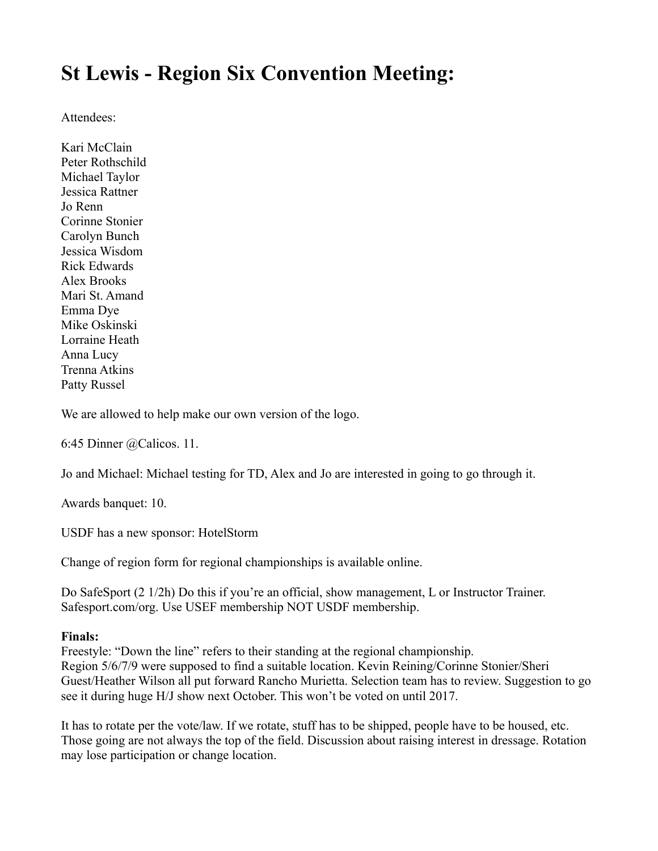# **St Lewis - Region Six Convention Meeting:**

Attendees:

Kari McClain Peter Rothschild Michael Taylor Jessica Rattner Jo Renn Corinne Stonier Carolyn Bunch Jessica Wisdom Rick Edwards Alex Brooks Mari St. Amand Emma Dye Mike Oskinski Lorraine Heath Anna Lucy Trenna Atkins Patty Russel

We are allowed to help make our own version of the logo.

6:45 Dinner @Calicos. 11.

Jo and Michael: Michael testing for TD, Alex and Jo are interested in going to go through it.

Awards banquet: 10.

USDF has a new sponsor: HotelStorm

Change of region form for regional championships is available online.

Do SafeSport (2 1/2h) Do this if you're an official, show management, L or Instructor Trainer. Safesport.com/org. Use USEF membership NOT USDF membership.

#### **Finals:**

Freestyle: "Down the line" refers to their standing at the regional championship. Region 5/6/7/9 were supposed to find a suitable location. Kevin Reining/Corinne Stonier/Sheri Guest/Heather Wilson all put forward Rancho Murietta. Selection team has to review. Suggestion to go see it during huge H/J show next October. This won't be voted on until 2017.

It has to rotate per the vote/law. If we rotate, stuff has to be shipped, people have to be housed, etc. Those going are not always the top of the field. Discussion about raising interest in dressage. Rotation may lose participation or change location.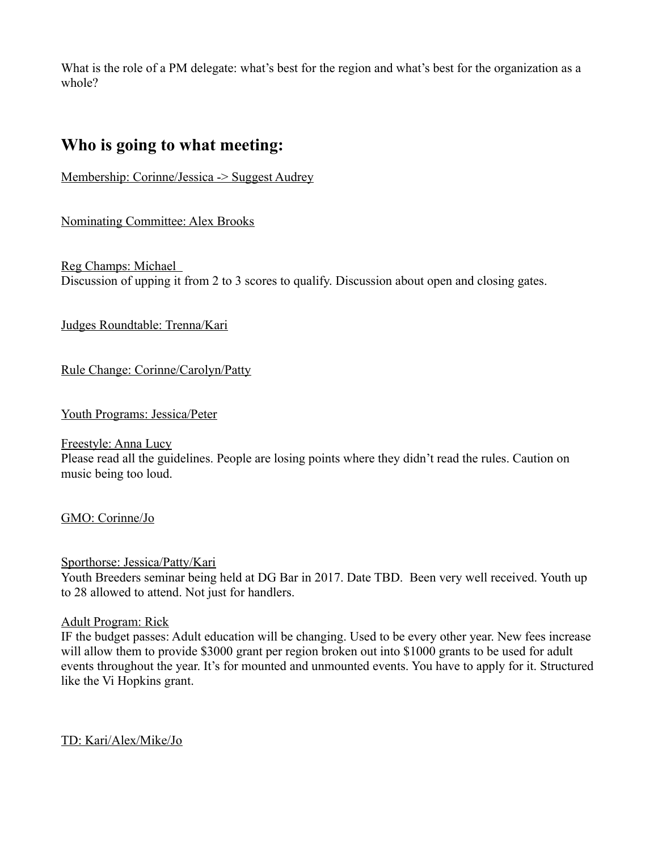What is the role of a PM delegate: what's best for the region and what's best for the organization as a whole?

### **Who is going to what meeting:**

Membership: Corinne/Jessica -> Suggest Audrey

Nominating Committee: Alex Brooks

Reg Champs: Michael Discussion of upping it from 2 to 3 scores to qualify. Discussion about open and closing gates.

Judges Roundtable: Trenna/Kari

Rule Change: Corinne/Carolyn/Patty

Youth Programs: Jessica/Peter

Freestyle: Anna Lucy

Please read all the guidelines. People are losing points where they didn't read the rules. Caution on music being too loud.

GMO: Corinne/Jo

#### Sporthorse: Jessica/Patty/Kari

Youth Breeders seminar being held at DG Bar in 2017. Date TBD. Been very well received. Youth up to 28 allowed to attend. Not just for handlers.

#### Adult Program: Rick

IF the budget passes: Adult education will be changing. Used to be every other year. New fees increase will allow them to provide \$3000 grant per region broken out into \$1000 grants to be used for adult events throughout the year. It's for mounted and unmounted events. You have to apply for it. Structured like the Vi Hopkins grant.

TD: Kari/Alex/Mike/Jo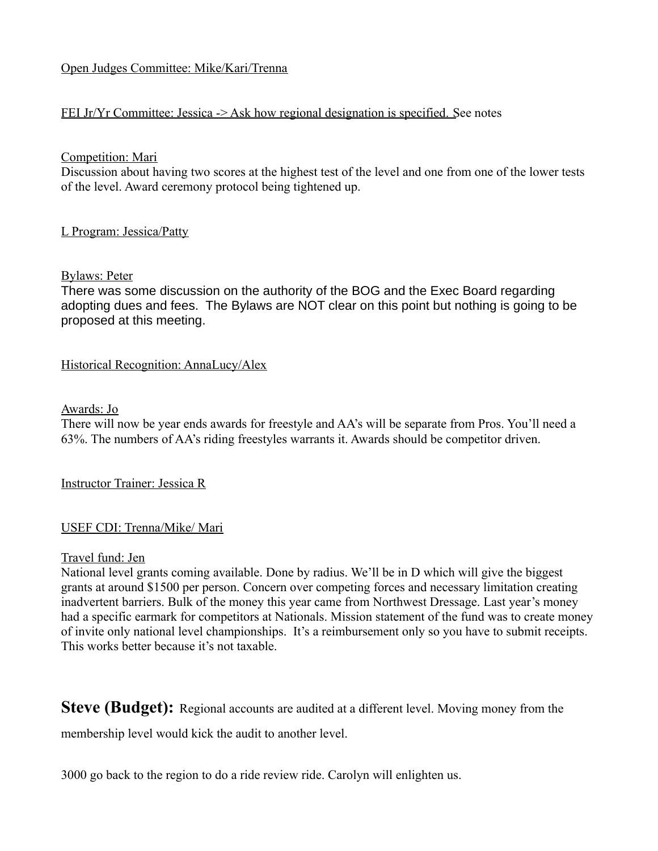#### Open Judges Committee: Mike/Kari/Trenna

#### FEI Jr/Yr Committee: Jessica -> Ask how regional designation is specified. See notes

#### Competition: Mari

Discussion about having two scores at the highest test of the level and one from one of the lower tests of the level. Award ceremony protocol being tightened up.

#### L Program: Jessica/Patty

#### Bylaws: Peter

There was some discussion on the authority of the BOG and the Exec Board regarding adopting dues and fees. The Bylaws are NOT clear on this point but nothing is going to be proposed at this meeting.

#### Historical Recognition: AnnaLucy/Alex

#### Awards: Jo

There will now be year ends awards for freestyle and AA's will be separate from Pros. You'll need a 63%. The numbers of AA's riding freestyles warrants it. Awards should be competitor driven.

Instructor Trainer: Jessica R

#### USEF CDI: Trenna/Mike/ Mari

#### Travel fund: Jen

National level grants coming available. Done by radius. We'll be in D which will give the biggest grants at around \$1500 per person. Concern over competing forces and necessary limitation creating inadvertent barriers. Bulk of the money this year came from Northwest Dressage. Last year's money had a specific earmark for competitors at Nationals. Mission statement of the fund was to create money of invite only national level championships. It's a reimbursement only so you have to submit receipts. This works better because it's not taxable.

**Steve (Budget):** Regional accounts are audited at a different level. Moving money from the

membership level would kick the audit to another level.

3000 go back to the region to do a ride review ride. Carolyn will enlighten us.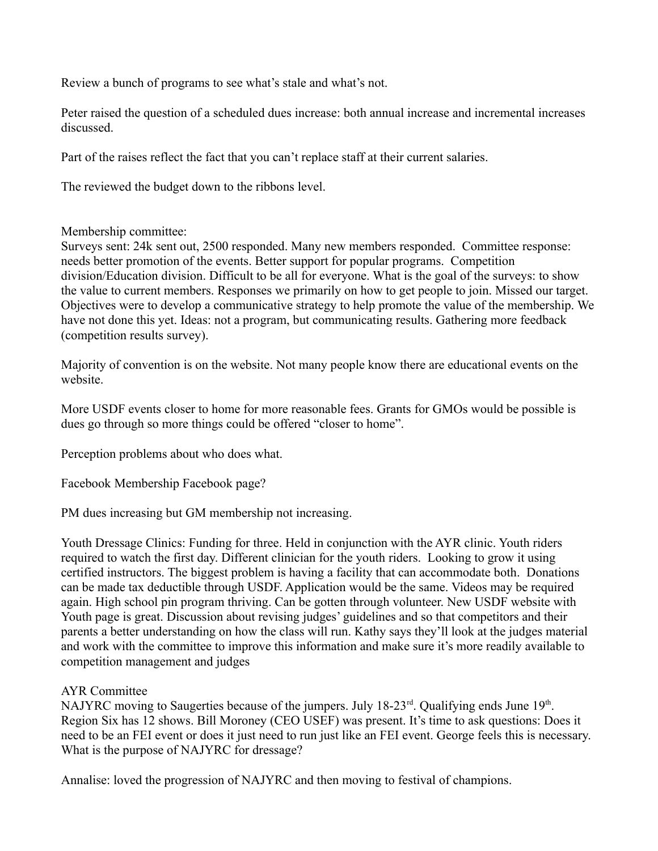Review a bunch of programs to see what's stale and what's not.

Peter raised the question of a scheduled dues increase: both annual increase and incremental increases discussed.

Part of the raises reflect the fact that you can't replace staff at their current salaries.

The reviewed the budget down to the ribbons level.

Membership committee:

Surveys sent: 24k sent out, 2500 responded. Many new members responded. Committee response: needs better promotion of the events. Better support for popular programs. Competition division/Education division. Difficult to be all for everyone. What is the goal of the surveys: to show the value to current members. Responses we primarily on how to get people to join. Missed our target. Objectives were to develop a communicative strategy to help promote the value of the membership. We have not done this yet. Ideas: not a program, but communicating results. Gathering more feedback (competition results survey).

Majority of convention is on the website. Not many people know there are educational events on the website.

More USDF events closer to home for more reasonable fees. Grants for GMOs would be possible is dues go through so more things could be offered "closer to home".

Perception problems about who does what.

Facebook Membership Facebook page?

PM dues increasing but GM membership not increasing.

Youth Dressage Clinics: Funding for three. Held in conjunction with the AYR clinic. Youth riders required to watch the first day. Different clinician for the youth riders. Looking to grow it using certified instructors. The biggest problem is having a facility that can accommodate both. Donations can be made tax deductible through USDF. Application would be the same. Videos may be required again. High school pin program thriving. Can be gotten through volunteer. New USDF website with Youth page is great. Discussion about revising judges' guidelines and so that competitors and their parents a better understanding on how the class will run. Kathy says they'll look at the judges material and work with the committee to improve this information and make sure it's more readily available to competition management and judges

#### AYR Committee

NAJYRC moving to Saugerties because of the jumpers. July 18-23<sup>rd</sup>. Qualifying ends June 19<sup>th</sup>. Region Six has 12 shows. Bill Moroney (CEO USEF) was present. It's time to ask questions: Does it need to be an FEI event or does it just need to run just like an FEI event. George feels this is necessary. What is the purpose of NAJYRC for dressage?

Annalise: loved the progression of NAJYRC and then moving to festival of champions.